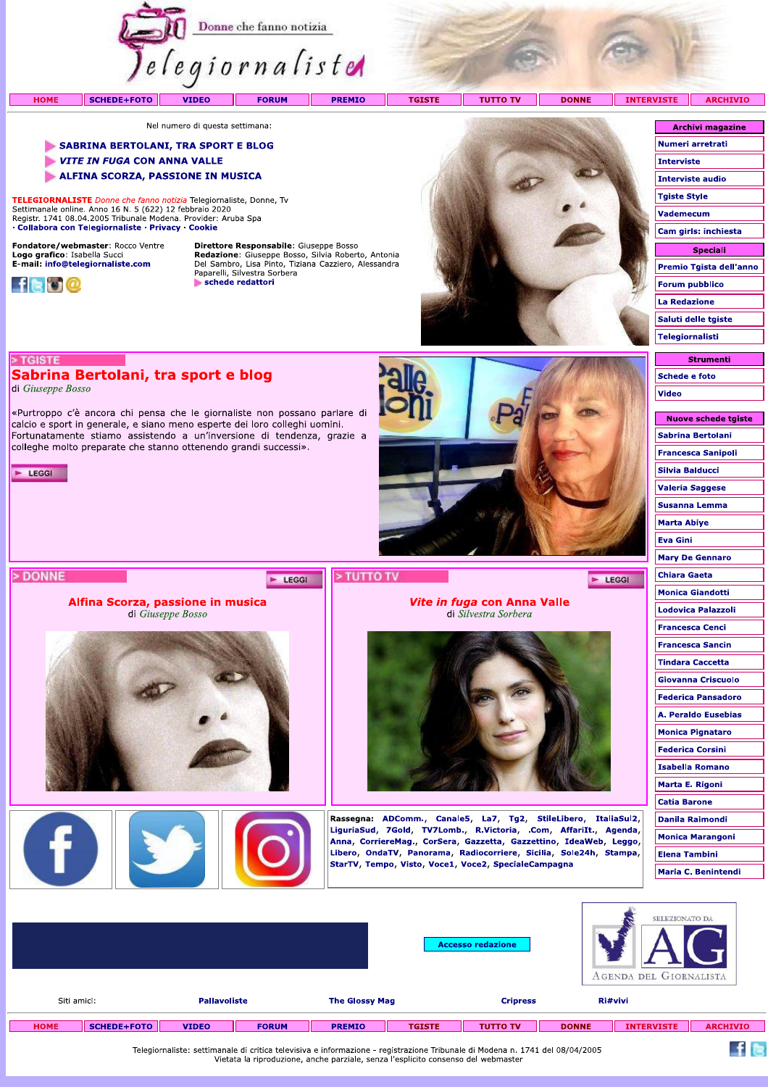

Nel numero di questa settimana:

## SABRINA BERTOLANI, TRA SPORT E BLOG

- VITE IN FUGA CON ANNA VALLE
- **ALFINA SCORZA, PASSIONE IN MUSICA**

TELEGIORNALISTE Donne che fanno notizia Telegiornaliste, Donne, Tv Settimanale online. Anno 16 N. 5 (622) 12 febbraio 2020<br>Registr. 1741 08.04.2005 Tribunale Modena. Provider: Aruba Spa · Collabora con Telegiornaliste · Privacy · Cookie

Sabrina Bertolani, tra sport e blog

«Purtroppo c'è ancora chi pensa che le giornaliste non possano parlare di

calcio e sport in generale, e siano meno esperte dei loro colleghi uomini. Fortunatamente stiamo assistendo a un'inversione di tendenza, grazie a

colleghe molto preparate che stanno ottenendo grandi successi».

Alfina Scorza, passione in musica

di Giuseppe Bosso

FISH

Fondatore/webmaster: Rocco Ventre Logo grafico: Isabella Succi<br>E-mail: info@telegiornaliste.com



> TGISTE

E LEGGI

> DONNE

di Giuseppe Bosso

Direttore Responsabile: Giuseppe Bosso **Redazione:** Giuseppe Bosso, Silvia Roberto, Antonia<br>Del Sambro, Lisa Pinto, Tiziana Cazziero, Alessandra<br>Paparelli, Silvestra Sorbera schede redattori

E LEGGI



Vite in fuga con Anna Valle

di Silvestra Sorbera

Rassegna: ADComm., Canale5, La7, Tg2, StileLibero, ItaliaSul2,

LiguriaSud, 7Gold, TV7Lomb., R.Victoria, .Com, AffariIt., Agenda,

Anna, CorriereMag., CorSera, Gazzetta, Gazzettino, IdeaWeb, Leggo, Libero, OndaTV, Panorama, Radiocorriere, Sicilia, Sole24h, Stampa,

StarTV, Tempo, Visto, Voce1, Voce2, SpecialeCampagna

| <b>Archivi magazine</b> |
|-------------------------|
| Numeri arretrati        |
| <b>Interviste</b>       |
| <b>Interviste audio</b> |
| <b>Tgiste Style</b>     |
| Vademecum               |
| Cam girls: inchiesta    |
| <b>Speciali</b>         |
| Premio Tgista dell'anno |
| <b>Forum pubblico</b>   |
| <b>La Redazione</b>     |
| Saluti delle tgiste     |
| Telegiornalisti         |

## **Strumenti** Schede e foto Video

Nuove schede tgiste Sabrina Bertolani **Francesca Sanipoli Silvia Balducci Valeria Saggese** Susanna Lemma **Marta Abiye Eva Gini Mary De Gennaro Chiara Gaeta Monica Giandotti** Lodovica Palazzoli **Francesca Cenci Francesca Sancin Tindara Caccetta Giovanna Criscuolo Federica Pansadoro** A. Peraldo Eusebias **Monica Pignataro Federica Corsini Isabella Romano Marta E. Rigoni Catia Barone Danila Raimondi Monica Marangoni Elena Tambini Maria C. Benintendi** 

E LEGGI

|                                                                                                                              |                    |                     |              |                       |               | <b>Accesso redazione</b> |              | SELEZIONATO DA<br>AGENDA DEL GIORNALISTA |                 |  |
|------------------------------------------------------------------------------------------------------------------------------|--------------------|---------------------|--------------|-----------------------|---------------|--------------------------|--------------|------------------------------------------|-----------------|--|
| Siti amici:                                                                                                                  |                    | <b>Pallavoliste</b> |              | <b>The Glossy Mag</b> |               | <b>Cripress</b>          |              | Ri#vivi                                  |                 |  |
| <b>HOME</b>                                                                                                                  | <b>SCHEDE+FOTO</b> | <b>VIDEO</b>        | <b>FORUM</b> | <b>PREMIO</b>         | <b>TGISTE</b> | <b>TUTTO TV</b>          | <b>DONNE</b> | <b>INTERVISTE</b>                        | <b>ARCHIVIO</b> |  |
| Telegiornaliste: settimanale di critica televisiva e informazione - registrazione Tribunale di Modena n. 1741 del 08/04/2005 |                    |                     |              |                       |               |                          |              |                                          |                 |  |

Telegiornaliste: settimanale di critica televisiva e informazione - registrazione Tribunale di Modena n. 1741 del 08/04/2005 Vietata la riproduzione, anche parziale, senza l'esplicito consenso del webmaster

> TUTTO TV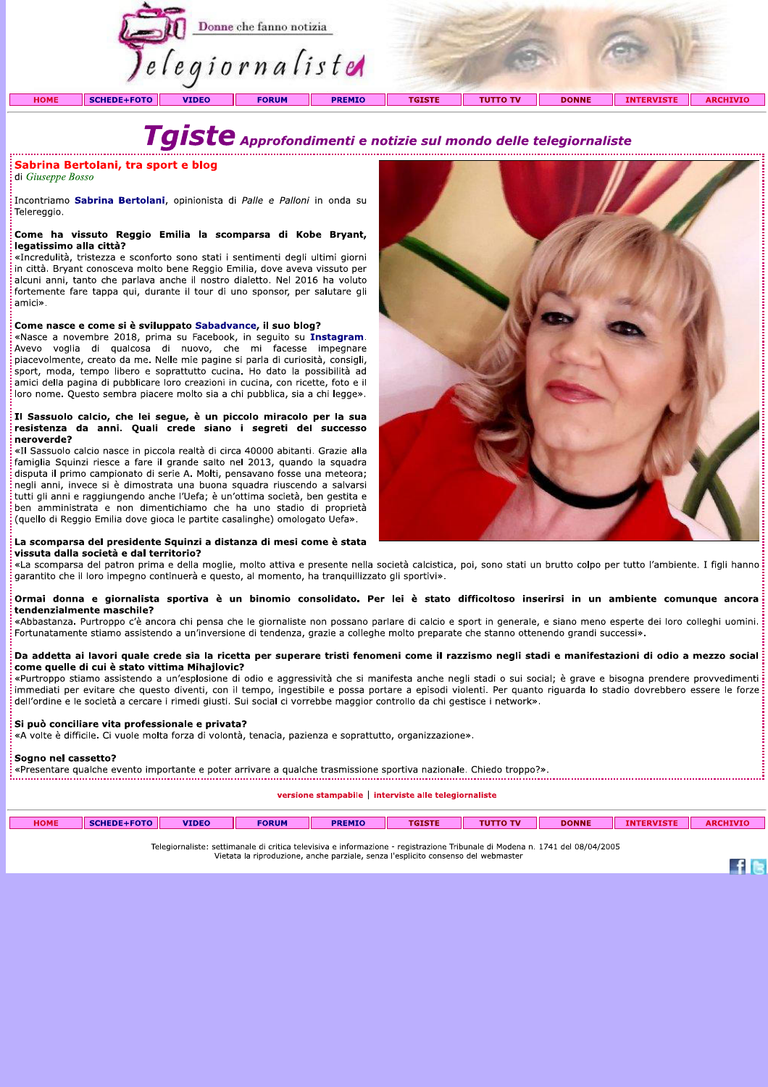

# Tgiste Approfondimenti e notizie sul mondo delle telegiornaliste

## Sabrina Bertolani, tra sport e blog

di Giuseppe Bosso

Incontriamo Sabrina Bertolani, opinionista di Palle e Palloni in onda su Telereggio.

## Come ha vissuto Reggio Emilia la scomparsa di Kobe Bryant, legatissimo alla città?

«Incredulità, tristezza e sconforto sono stati i sentimenti degli ultimi giorni in città. Bryant conosceva molto bene Reggio Emilia, dove aveva vissuto per alcuni anni, tanto che parlava anche il nostro dialetto. Nel 2016 ha voluto fortemente fare tappa qui, durante il tour di uno sponsor, per salutare gli amici».

## Come nasce e come si è sviluppato Sabadvance, il suo blog?

«Nasce a novembre 2018, prima su Facebook, in seguito su Instagram. Avevo voglia di qualcosa di nuovo, che mi facesse impegnare piacevolmente, creato da me. Nelle mie pagine si parla di curiosità, consigli, sport, moda, tempo libero e soprattutto cucina. Ho dato la possibilità ad amici della pagina di pubblicare loro creazioni in cucina, con ricette, foto e il loro nome. Questo sembra piacere molto sia a chi pubblica, sia a chi legge».

## Il Sassuolo calcio, che lei segue, è un piccolo miracolo per la sua resistenza da anni. Quali crede siano i segreti del successo neroverde?

«Il Sassuolo calcio nasce in piccola realtà di circa 40000 abitanti. Grazie alla famiglia Squinzi riesce a fare il grande salto nel 2013, quando la squadra disputa il primo campionato di serie A. Molti, pensavano fosse una meteora; negli anni, invece si è dimostrata una buona squadra riuscendo a salvarsi tutti gli anni e raggiungendo anche l'Uefa; è un'ottima società, ben gestita e ben amministrata e non dimentichiamo che ha uno stadio di proprietà (quello di Reggio Emilia dove gioca le partite casalinghe) omologato Uefa».



 $\mathbf{f}$  is

## La scomparsa del presidente Squinzi a distanza di mesi come è stata

vissuta dalla società e dal territorio? «La scomparsa del patron prima e della moglie, molto attiva e presente nella società calcistica, poi, sono stati un brutto colpo per tutto l'ambiente. I figli hanno garantito che il loro impegno continuerà e questo, al momento, ha tranquillizzato gli sportivi».

## Ormai donna e giornalista sportiva è un binomio consolidato. Per lei è stato difficoltoso inserirsi in un ambiente comunque ancora tendenzialmente maschile?

«Abbastanza. Purtroppo c'è ancora chi pensa che le giornaliste non possano parlare di calcio e sport in generale, e siano meno esperte dei loro colleghi uomini. Fortunatamente stiamo assistendo a un'inversione di tendenza, grazie a colleghe molto preparate che stanno ottenendo grandi successi».

## Da addetta ai lavori quale crede sia la ricetta per superare tristi fenomeni come il razzismo negli stadi e manifestazioni di odio a mezzo social come quelle di cui è stato vittima Mihajlovic?

«Purtroppo stiamo assistendo a un'esplosione di odio e aggressività che si manifesta anche negli stadi o sui social; è grave e bisogna prendere provvedimenti immediati per evitare che questo diventi, con il tempo, ingestibile e possa portare a episodi violenti. Per quanto riguarda lo stadio dovrebbero essere le forze dell'ordine e le società a cercare i rimedi giusti. Sui social ci vorrebbe maggior controllo da chi gestisce i network».

## Si può conciliare vita professionale e privata?

«A volte è difficile. Ci vuole molta forza di volontà, tenacia, pazienza e soprattutto, organizzazione».

## Sogno nel cassetto?

«Presentare qualche evento importante e poter arrivare a qualche trasmissione sportiva nazionale. Chiedo troppo?».

versione stampabile | interviste alle telegiornaliste

| <b>HOME</b> | SCHEDE+FOTO | <b>VIDEO</b> | <b>FORUM</b> | <b>PREMIO</b> | <b>TGISTE</b> | <b>TUTTO TV</b> | <b>DONNE</b> | <b>ERVISTI</b><br><b>INT</b> | <b>ARCHIVIO</b> |
|-------------|-------------|--------------|--------------|---------------|---------------|-----------------|--------------|------------------------------|-----------------|
|             |             |              |              |               |               |                 |              |                              |                 |

Telegiornaliste: settimanale di critica televisiva e informazione - registrazione Tribunale di Modena n. 1741 del 08/04/2005<br>Vietata la riproduzione, anche parziale, senza l'esplicito consenso del webmaster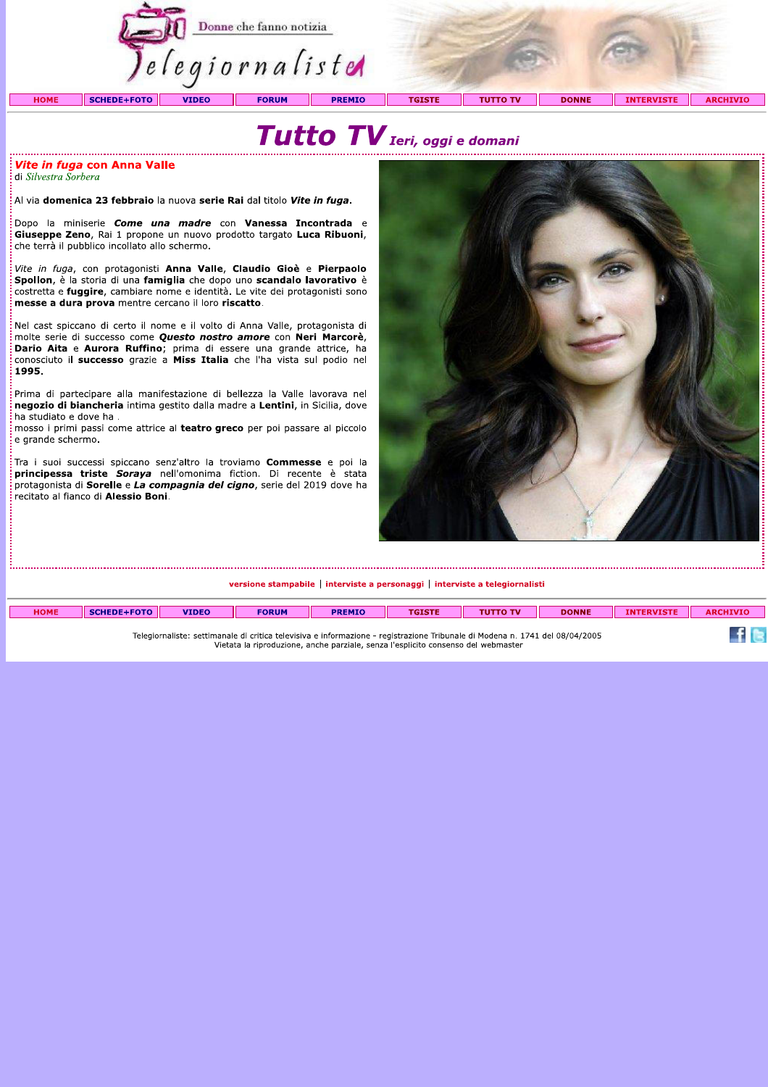

## Tutto TV Ieri, oggi e domani

: *Vite in fuga* con Anna Valle di Silvestra Sorbera

.<br>Al via **domenica 23 febbraio** la nuova serie Rai dal titolo Vite in fuga.

.<br>Dopo la miniserie *Come una madre* con Vanessa Incontrada e Giuseppe Zeno, Rai 1 propone un nuovo prodotto targato Luca Ribuoni, che terrà il pubblico incollato allo schermo.

Vite in fuga, con protagonisti Anna Valle, Claudio Gioè e Pierpaolo Spollon, è la storia di una famiglia che dopo uno scandalo lavorativo è costretta e fuggire, cambiare nome e identità. Le vite dei protagonisti sono messe a dura prova mentre cercano il loro riscatto.

Nel cast spiccano di certo il nome e il volto di Anna Valle, protagonista di molte serie di successo come Questo nostro amore con Neri Marcorè, Dario Aita e Aurora Ruffino; prima di essere una grande attrice, ha<br>conosciuto il successo grazie a Miss Italia che l'ha vista sul podio nel 1995.

Prima di partecipare alla manifestazione di bellezza la Valle lavorava nel negozio di biancheria intima gestito dalla madre a Lentini, in Sicilia, dove ha studiato e dove ha.

mosso i primi passi come attrice al teatro greco per poi passare al piccolo e grande schermo.

Tra i suoi successi spiccano senz'altro la troviamo **Commesse** e poi la principessa triste Soraya nell'omonima fiction. Di recente è stata protagonista di Sorelle e La compagnia del cigno, serie del 2019 dove ha recitato al fianco di Alessio Boni.



versione stampabile | interviste a personaggi | interviste a telegiornalisti

| <b>HOME</b> | CDE LEOTE | <b>VIDEO</b> | <b>FORUM</b> | <b>PREMIO</b> | <b>TGISTE</b> | <b>TV</b> | <b>DONNE</b> | <b>EDUTCTF</b><br><b>A17</b> | HIVIO<br><b>ADOM</b> |
|-------------|-----------|--------------|--------------|---------------|---------------|-----------|--------------|------------------------------|----------------------|
|             |           |              |              |               |               |           |              |                              | __                   |

Telegiornaliste: settimanale di critica televisiva e informazione - registrazione Tribunale di Modena n. 1741 del 08/04/2005 Vietata la riproduzione, anche parziale, senza l'esplicito consenso del webmaster

**f** G